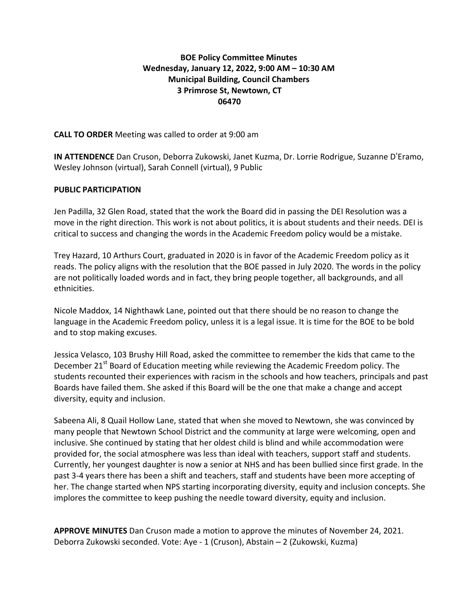## **BOE Policy Committee Minutes Wednesday, January 12, 2022, 9:00 AM – 10:30 AM Municipal Building, Council Chambers 3 Primrose St, Newtown, CT 06470**

### **CALL TO ORDER** Meeting was called to order at 9:00 am

**IN ATTENDENCE** Dan Cruson, Deborra Zukowski, Janet Kuzma, Dr. Lorrie Rodrigue, Suzanne D'Eramo, Wesley Johnson (virtual), Sarah Connell (virtual), 9 Public

### **PUBLIC PARTICIPATION**

Jen Padilla, 32 Glen Road, stated that the work the Board did in passing the DEI Resolution was a move in the right direction. This work is not about politics, it is about students and their needs. DEI is critical to success and changing the words in the Academic Freedom policy would be a mistake.

Trey Hazard, 10 Arthurs Court, graduated in 2020 is in favor of the Academic Freedom policy as it reads. The policy aligns with the resolution that the BOE passed in July 2020. The words in the policy are not politically loaded words and in fact, they bring people together, all backgrounds, and all ethnicities.

Nicole Maddox, 14 Nighthawk Lane, pointed out that there should be no reason to change the language in the Academic Freedom policy, unless it is a legal issue. It is time for the BOE to be bold and to stop making excuses.

Jessica Velasco, 103 Brushy Hill Road, asked the committee to remember the kids that came to the December 21<sup>st</sup> Board of Education meeting while reviewing the Academic Freedom policy. The students recounted their experiences with racism in the schools and how teachers, principals and past Boards have failed them. She asked if this Board will be the one that make a change and accept diversity, equity and inclusion.

Sabeena Ali, 8 Quail Hollow Lane, stated that when she moved to Newtown, she was convinced by many people that Newtown School District and the community at large were welcoming, open and inclusive. She continued by stating that her oldest child is blind and while accommodation were provided for, the social atmosphere was less than ideal with teachers, support staff and students. Currently, her youngest daughter is now a senior at NHS and has been bullied since first grade. In the past 3-4 years there has been a shift and teachers, staff and students have been more accepting of her. The change started when NPS starting incorporating diversity, equity and inclusion concepts. She implores the committee to keep pushing the needle toward diversity, equity and inclusion.

**APPROVE MINUTES** Dan Cruson made a motion to approve the minutes of November 24, 2021. Deborra Zukowski seconded. Vote: Aye - 1 (Cruson), Abstain – 2 (Zukowski, Kuzma)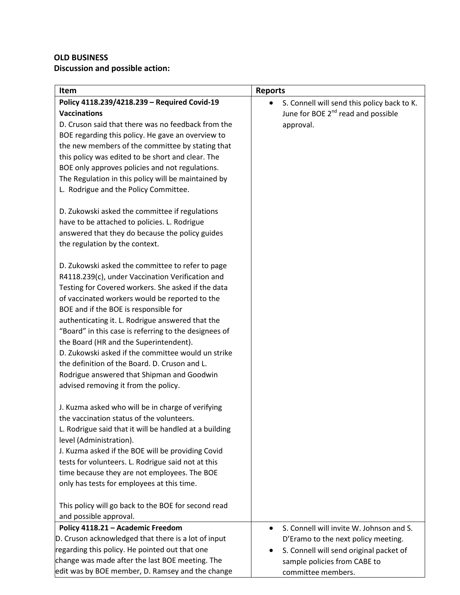# **OLD BUSINESS Discussion and possible action:**

| Item                                                                              | <b>Reports</b>                                           |
|-----------------------------------------------------------------------------------|----------------------------------------------------------|
| Policy 4118.239/4218.239 - Required Covid-19                                      | S. Connell will send this policy back to K.<br>$\bullet$ |
| <b>Vaccinations</b>                                                               | June for BOE 2 <sup>nd</sup> read and possible           |
| D. Cruson said that there was no feedback from the                                | approval.                                                |
| BOE regarding this policy. He gave an overview to                                 |                                                          |
| the new members of the committee by stating that                                  |                                                          |
| this policy was edited to be short and clear. The                                 |                                                          |
| BOE only approves policies and not regulations.                                   |                                                          |
| The Regulation in this policy will be maintained by                               |                                                          |
| L. Rodrigue and the Policy Committee.                                             |                                                          |
|                                                                                   |                                                          |
| D. Zukowski asked the committee if regulations                                    |                                                          |
| have to be attached to policies. L. Rodrigue                                      |                                                          |
| answered that they do because the policy guides                                   |                                                          |
| the regulation by the context.                                                    |                                                          |
| D. Zukowski asked the committee to refer to page                                  |                                                          |
| R4118.239(c), under Vaccination Verification and                                  |                                                          |
| Testing for Covered workers. She asked if the data                                |                                                          |
| of vaccinated workers would be reported to the                                    |                                                          |
| BOE and if the BOE is responsible for                                             |                                                          |
| authenticating it. L. Rodrigue answered that the                                  |                                                          |
| "Board" in this case is referring to the designees of                             |                                                          |
| the Board (HR and the Superintendent).                                            |                                                          |
| D. Zukowski asked if the committee would un strike                                |                                                          |
| the definition of the Board. D. Cruson and L.                                     |                                                          |
| Rodrigue answered that Shipman and Goodwin                                        |                                                          |
| advised removing it from the policy.                                              |                                                          |
|                                                                                   |                                                          |
| J. Kuzma asked who will be in charge of verifying                                 |                                                          |
| the vaccination status of the volunteers                                          |                                                          |
| L. Rodrigue said that it will be handled at a building<br>level (Administration). |                                                          |
| J. Kuzma asked if the BOE will be providing Covid                                 |                                                          |
| tests for volunteers. L. Rodrigue said not at this                                |                                                          |
| time because they are not employees. The BOE                                      |                                                          |
| only has tests for employees at this time.                                        |                                                          |
|                                                                                   |                                                          |
| This policy will go back to the BOE for second read                               |                                                          |
| and possible approval.                                                            |                                                          |
| Policy 4118.21 - Academic Freedom                                                 | S. Connell will invite W. Johnson and S.                 |
| D. Cruson acknowledged that there is a lot of input                               | D'Eramo to the next policy meeting.                      |
| regarding this policy. He pointed out that one                                    | S. Connell will send original packet of                  |
| change was made after the last BOE meeting. The                                   | sample policies from CABE to                             |
| edit was by BOE member, D. Ramsey and the change                                  | committee members.                                       |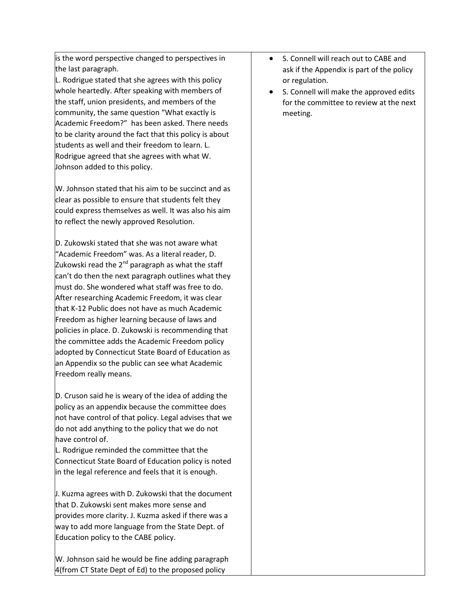is the word perspective changed to perspectives in the last paragraph.

L. Rodrigue stated that she agrees with this policy whole heartedly. After speaking with members of the staff, union presidents, and members of the community, the same question "What exactly is Academic Freedom?" has been asked. There needs to be clarity around the fact that this policy is about students as well and their freedom to learn. L. Rodrigue agreed that she agrees with what W. Johnson added to this policy.

W. Johnson stated that his aim to be succinct and as clear as possible to ensure that students felt they could express themselves as well. It was also his aim to reflect the newly approved Resolution.

D. Zukowski stated that she was not aware what "Academic Freedom" was. As a literal reader, D. Zukowski read the  $2^{nd}$  paragraph as what the staff can't do then the next paragraph outlines what they must do. She wondered what staff was free to do. After researching Academic Freedom, it was clear that K-12 Public does not have as much Academic Freedom as higher learning because of laws and policies in place. D. Zukowski is recommending that the committee adds the Academic Freedom policy adopted by Connecticut State Board of Education as an Appendix so the public can see what Academic Freedom really means.

D. Cruson said he is weary of the idea of adding the policy as an appendix because the committee does not have control of that policy. Legal advises that we do not add anything to the policy that we do not have control of.

L. Rodrigue reminded the committee that the Connecticut State Board of Education policy is noted in the legal reference and feels that it is enough.

J. Kuzma agrees with D. Zukowski that the document that D. Zukowski sent makes more sense and provides more clarity. J. Kuzma asked if there was a way to add more language from the State Dept. of Education policy to the CABE policy.

W. Johnson said he would be fine adding paragraph 4(from CT State Dept of Ed) to the proposed policy

- S. Connell will reach out to CABE and ask if the Appendix is part of the policy or regulation.
- S. Connell will make the approved edits for the committee to review at the next meeting.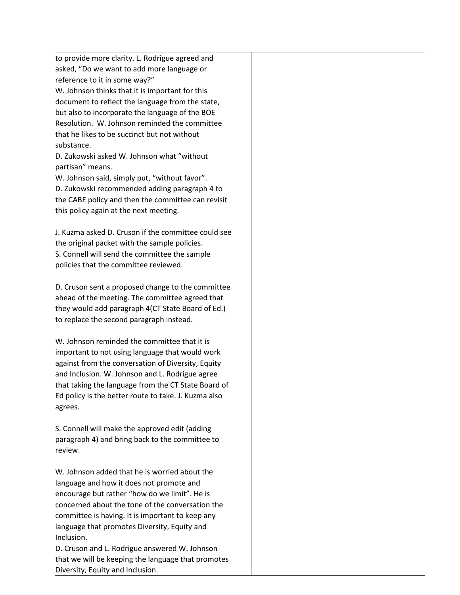to provide more clarity. L. Rodrigue agreed and asked, "Do we want to add more language or reference to it in some way?"

W. Johnson thinks that it is important for this document to reflect the language from the state, but also to incorporate the language of the BOE Resolution. W. Johnson reminded the committee that he likes to be succinct but not without substance.

D. Zukowski asked W. Johnson what "without partisan" means.

W. Johnson said, simply put, "without favor". D. Zukowski recommended adding paragraph 4 to the CABE policy and then the committee can revisit this policy again at the next meeting.

J. Kuzma asked D. Cruson if the committee could see the original packet with the sample policies. S. Connell will send the committee the sample policies that the committee reviewed.

D. Cruson sent a proposed change to the committee ahead of the meeting. The committee agreed that they would add paragraph 4(CT State Board of Ed.) to replace the second paragraph instead.

W. Johnson reminded the committee that it is important to not using language that would work against from the conversation of Diversity, Equity and Inclusion. W. Johnson and L. Rodrigue agree that taking the language from the CT State Board of Ed policy is the better route to take. J. Kuzma also agrees.

S. Connell will make the approved edit (adding paragraph 4) and bring back to the committee to review.

W. Johnson added that he is worried about the language and how it does not promote and encourage but rather "how do we limit". He is concerned about the tone of the conversation the committee is having. It is important to keep any language that promotes Diversity, Equity and Inclusion.

D. Cruson and L. Rodrigue answered W. Johnson that we will be keeping the language that promotes Diversity, Equity and Inclusion.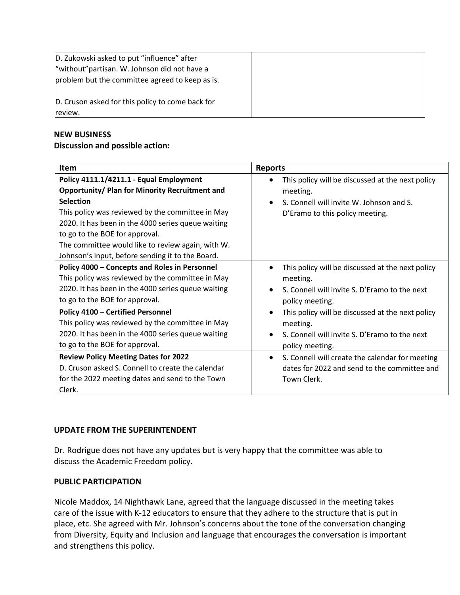| D. Zukowski asked to put "influence" after<br>"without" partisan. W. Johnson did not have a<br>problem but the committee agreed to keep as is. |  |
|------------------------------------------------------------------------------------------------------------------------------------------------|--|
| D. Cruson asked for this policy to come back for<br>review.                                                                                    |  |

### **NEW BUSINESS**

### **Discussion and possible action:**

| <b>Item</b>                                                                                                                                                                                                                                                                                                                                                               | <b>Reports</b>                                                                                                                                                                                    |
|---------------------------------------------------------------------------------------------------------------------------------------------------------------------------------------------------------------------------------------------------------------------------------------------------------------------------------------------------------------------------|---------------------------------------------------------------------------------------------------------------------------------------------------------------------------------------------------|
| Policy 4111.1/4211.1 - Equal Employment<br><b>Opportunity/ Plan for Minority Recruitment and</b><br><b>Selection</b><br>This policy was reviewed by the committee in May<br>2020. It has been in the 4000 series queue waiting<br>to go to the BOE for approval.<br>The committee would like to review again, with W.<br>Johnson's input, before sending it to the Board. | This policy will be discussed at the next policy<br>meeting.<br>S. Connell will invite W. Johnson and S.<br>D'Eramo to this policy meeting.                                                       |
| Policy 4000 - Concepts and Roles in Personnel<br>This policy was reviewed by the committee in May<br>2020. It has been in the 4000 series queue waiting<br>to go to the BOE for approval.<br>Policy 4100 - Certified Personnel                                                                                                                                            | This policy will be discussed at the next policy<br>meeting.<br>S. Connell will invite S. D'Eramo to the next<br>policy meeting.<br>This policy will be discussed at the next policy<br>$\bullet$ |
| This policy was reviewed by the committee in May<br>2020. It has been in the 4000 series queue waiting<br>to go to the BOE for approval.<br><b>Review Policy Meeting Dates for 2022</b>                                                                                                                                                                                   | meeting.<br>S. Connell will invite S. D'Eramo to the next<br>policy meeting.<br>S. Connell will create the calendar for meeting<br>$\bullet$                                                      |
| D. Cruson asked S. Connell to create the calendar<br>for the 2022 meeting dates and send to the Town<br>Clerk.                                                                                                                                                                                                                                                            | dates for 2022 and send to the committee and<br>Town Clerk.                                                                                                                                       |

## **UPDATE FROM THE SUPERINTENDENT**

Dr. Rodrigue does not have any updates but is very happy that the committee was able to discuss the Academic Freedom policy.

### **PUBLIC PARTICIPATION**

Nicole Maddox, 14 Nighthawk Lane, agreed that the language discussed in the meeting takes care of the issue with K-12 educators to ensure that they adhere to the structure that is put in place, etc. She agreed with Mr. Johnson's concerns about the tone of the conversation changing from Diversity, Equity and Inclusion and language that encourages the conversation is important and strengthens this policy.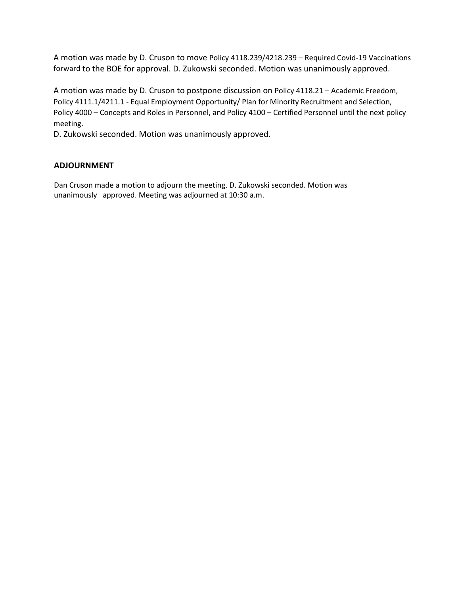A motion was made by D. Cruson to move Policy 4118.239/4218.239 – Required Covid-19 Vaccinations forward to the BOE for approval. D. Zukowski seconded. Motion was unanimously approved.

A motion was made by D. Cruson to postpone discussion on Policy 4118.21 – Academic Freedom, Policy 4111.1/4211.1 - Equal Employment Opportunity/ Plan for Minority Recruitment and Selection, Policy 4000 – Concepts and Roles in Personnel, and Policy 4100 – Certified Personnel until the next policy meeting.

D. Zukowski seconded. Motion was unanimously approved.

### **ADJOURNMENT**

Dan Cruson made a motion to adjourn the meeting. D. Zukowski seconded. Motion was unanimously approved. Meeting was adjourned at 10:30 a.m.